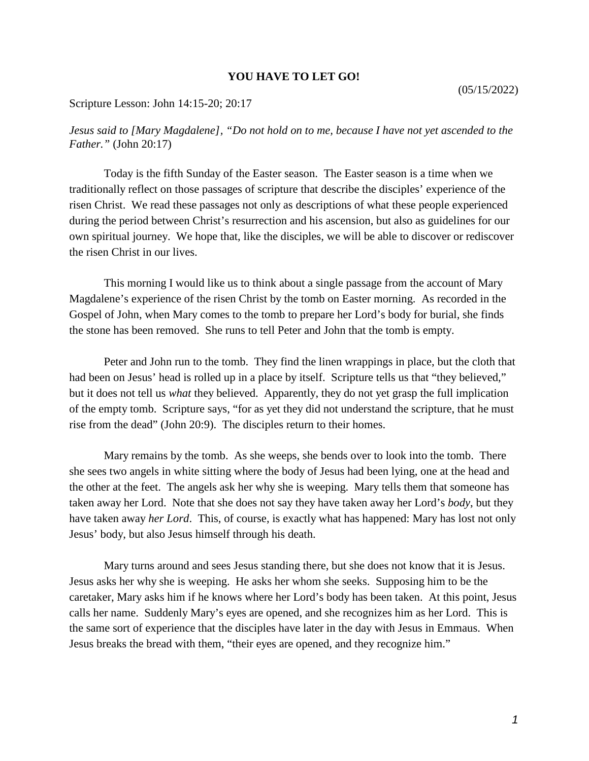## **YOU HAVE TO LET GO!**

## Scripture Lesson: John 14:15-20; 20:17

*Jesus said to [Mary Magdalene], "Do not hold on to me, because I have not yet ascended to the Father."* (John 20:17)

Today is the fifth Sunday of the Easter season. The Easter season is a time when we traditionally reflect on those passages of scripture that describe the disciples' experience of the risen Christ. We read these passages not only as descriptions of what these people experienced during the period between Christ's resurrection and his ascension, but also as guidelines for our own spiritual journey. We hope that, like the disciples, we will be able to discover or rediscover the risen Christ in our lives.

This morning I would like us to think about a single passage from the account of Mary Magdalene's experience of the risen Christ by the tomb on Easter morning. As recorded in the Gospel of John, when Mary comes to the tomb to prepare her Lord's body for burial, she finds the stone has been removed. She runs to tell Peter and John that the tomb is empty.

Peter and John run to the tomb. They find the linen wrappings in place, but the cloth that had been on Jesus' head is rolled up in a place by itself. Scripture tells us that "they believed," but it does not tell us *what* they believed. Apparently, they do not yet grasp the full implication of the empty tomb. Scripture says, "for as yet they did not understand the scripture, that he must rise from the dead" (John 20:9). The disciples return to their homes.

Mary remains by the tomb. As she weeps, she bends over to look into the tomb. There she sees two angels in white sitting where the body of Jesus had been lying, one at the head and the other at the feet. The angels ask her why she is weeping. Mary tells them that someone has taken away her Lord. Note that she does not say they have taken away her Lord's *body*, but they have taken away *her Lord*. This, of course, is exactly what has happened: Mary has lost not only Jesus' body, but also Jesus himself through his death.

Mary turns around and sees Jesus standing there, but she does not know that it is Jesus. Jesus asks her why she is weeping. He asks her whom she seeks. Supposing him to be the caretaker, Mary asks him if he knows where her Lord's body has been taken. At this point, Jesus calls her name. Suddenly Mary's eyes are opened, and she recognizes him as her Lord. This is the same sort of experience that the disciples have later in the day with Jesus in Emmaus. When Jesus breaks the bread with them, "their eyes are opened, and they recognize him."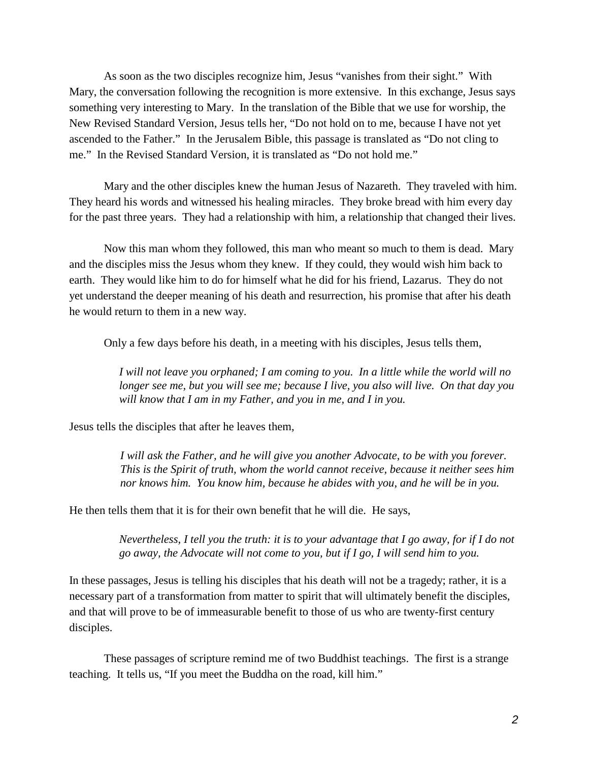As soon as the two disciples recognize him, Jesus "vanishes from their sight." With Mary, the conversation following the recognition is more extensive. In this exchange, Jesus says something very interesting to Mary. In the translation of the Bible that we use for worship, the New Revised Standard Version, Jesus tells her, "Do not hold on to me, because I have not yet ascended to the Father." In the Jerusalem Bible, this passage is translated as "Do not cling to me." In the Revised Standard Version, it is translated as "Do not hold me."

Mary and the other disciples knew the human Jesus of Nazareth. They traveled with him. They heard his words and witnessed his healing miracles. They broke bread with him every day for the past three years. They had a relationship with him, a relationship that changed their lives.

Now this man whom they followed, this man who meant so much to them is dead. Mary and the disciples miss the Jesus whom they knew. If they could, they would wish him back to earth. They would like him to do for himself what he did for his friend, Lazarus. They do not yet understand the deeper meaning of his death and resurrection, his promise that after his death he would return to them in a new way.

Only a few days before his death, in a meeting with his disciples, Jesus tells them,

*I will not leave you orphaned; I am coming to you. In a little while the world will no longer see me, but you will see me; because I live, you also will live. On that day you will know that I am in my Father, and you in me, and I in you.*

Jesus tells the disciples that after he leaves them,

*I will ask the Father, and he will give you another Advocate, to be with you forever. This is the Spirit of truth, whom the world cannot receive, because it neither sees him nor knows him. You know him, because he abides with you, and he will be in you.*

He then tells them that it is for their own benefit that he will die. He says,

*Nevertheless, I tell you the truth: it is to your advantage that I go away, for if I do not go away, the Advocate will not come to you, but if I go, I will send him to you.*

In these passages, Jesus is telling his disciples that his death will not be a tragedy; rather, it is a necessary part of a transformation from matter to spirit that will ultimately benefit the disciples, and that will prove to be of immeasurable benefit to those of us who are twenty-first century disciples.

These passages of scripture remind me of two Buddhist teachings. The first is a strange teaching. It tells us, "If you meet the Buddha on the road, kill him."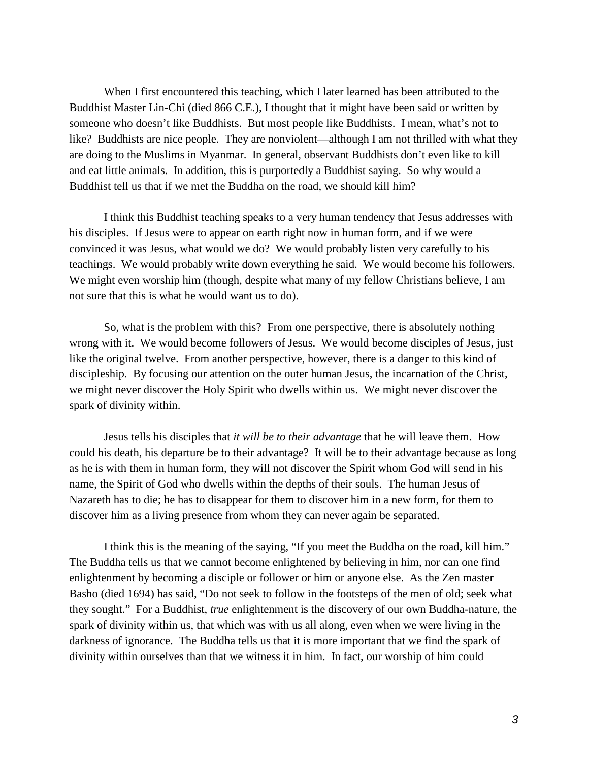When I first encountered this teaching, which I later learned has been attributed to the Buddhist Master Lin-Chi (died 866 C.E.), I thought that it might have been said or written by someone who doesn't like Buddhists. But most people like Buddhists. I mean, what's not to like? Buddhists are nice people. They are nonviolent—although I am not thrilled with what they are doing to the Muslims in Myanmar. In general, observant Buddhists don't even like to kill and eat little animals. In addition, this is purportedly a Buddhist saying. So why would a Buddhist tell us that if we met the Buddha on the road, we should kill him?

I think this Buddhist teaching speaks to a very human tendency that Jesus addresses with his disciples. If Jesus were to appear on earth right now in human form, and if we were convinced it was Jesus, what would we do? We would probably listen very carefully to his teachings. We would probably write down everything he said. We would become his followers. We might even worship him (though, despite what many of my fellow Christians believe, I am not sure that this is what he would want us to do).

So, what is the problem with this? From one perspective, there is absolutely nothing wrong with it. We would become followers of Jesus. We would become disciples of Jesus, just like the original twelve. From another perspective, however, there is a danger to this kind of discipleship. By focusing our attention on the outer human Jesus, the incarnation of the Christ, we might never discover the Holy Spirit who dwells within us. We might never discover the spark of divinity within.

Jesus tells his disciples that *it will be to their advantage* that he will leave them. How could his death, his departure be to their advantage? It will be to their advantage because as long as he is with them in human form, they will not discover the Spirit whom God will send in his name, the Spirit of God who dwells within the depths of their souls. The human Jesus of Nazareth has to die; he has to disappear for them to discover him in a new form, for them to discover him as a living presence from whom they can never again be separated.

I think this is the meaning of the saying, "If you meet the Buddha on the road, kill him." The Buddha tells us that we cannot become enlightened by believing in him, nor can one find enlightenment by becoming a disciple or follower or him or anyone else. As the Zen master Basho (died 1694) has said, "Do not seek to follow in the footsteps of the men of old; seek what they sought." For a Buddhist, *true* enlightenment is the discovery of our own Buddha-nature, the spark of divinity within us, that which was with us all along, even when we were living in the darkness of ignorance. The Buddha tells us that it is more important that we find the spark of divinity within ourselves than that we witness it in him. In fact, our worship of him could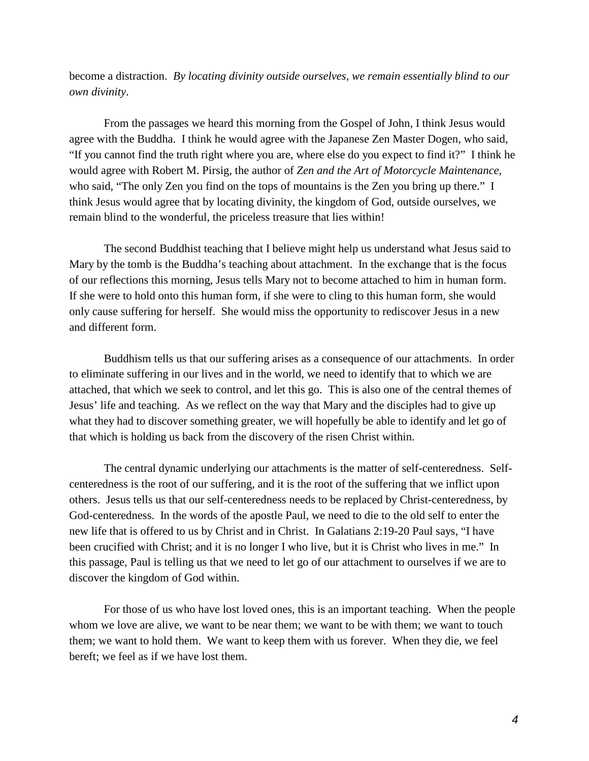become a distraction. *By locating divinity outside ourselves, we remain essentially blind to our own divinity*.

From the passages we heard this morning from the Gospel of John, I think Jesus would agree with the Buddha. I think he would agree with the Japanese Zen Master Dogen, who said, "If you cannot find the truth right where you are, where else do you expect to find it?" I think he would agree with Robert M. Pirsig, the author of *Zen and the Art of Motorcycle Maintenance*, who said, "The only Zen you find on the tops of mountains is the Zen you bring up there." I think Jesus would agree that by locating divinity, the kingdom of God, outside ourselves, we remain blind to the wonderful, the priceless treasure that lies within!

The second Buddhist teaching that I believe might help us understand what Jesus said to Mary by the tomb is the Buddha's teaching about attachment. In the exchange that is the focus of our reflections this morning, Jesus tells Mary not to become attached to him in human form. If she were to hold onto this human form, if she were to cling to this human form, she would only cause suffering for herself. She would miss the opportunity to rediscover Jesus in a new and different form.

Buddhism tells us that our suffering arises as a consequence of our attachments. In order to eliminate suffering in our lives and in the world, we need to identify that to which we are attached, that which we seek to control, and let this go. This is also one of the central themes of Jesus' life and teaching. As we reflect on the way that Mary and the disciples had to give up what they had to discover something greater, we will hopefully be able to identify and let go of that which is holding us back from the discovery of the risen Christ within.

The central dynamic underlying our attachments is the matter of self-centeredness. Selfcenteredness is the root of our suffering, and it is the root of the suffering that we inflict upon others. Jesus tells us that our self-centeredness needs to be replaced by Christ-centeredness, by God-centeredness. In the words of the apostle Paul, we need to die to the old self to enter the new life that is offered to us by Christ and in Christ. In Galatians 2:19-20 Paul says, "I have been crucified with Christ; and it is no longer I who live, but it is Christ who lives in me." In this passage, Paul is telling us that we need to let go of our attachment to ourselves if we are to discover the kingdom of God within.

For those of us who have lost loved ones, this is an important teaching. When the people whom we love are alive, we want to be near them; we want to be with them; we want to touch them; we want to hold them. We want to keep them with us forever. When they die, we feel bereft; we feel as if we have lost them.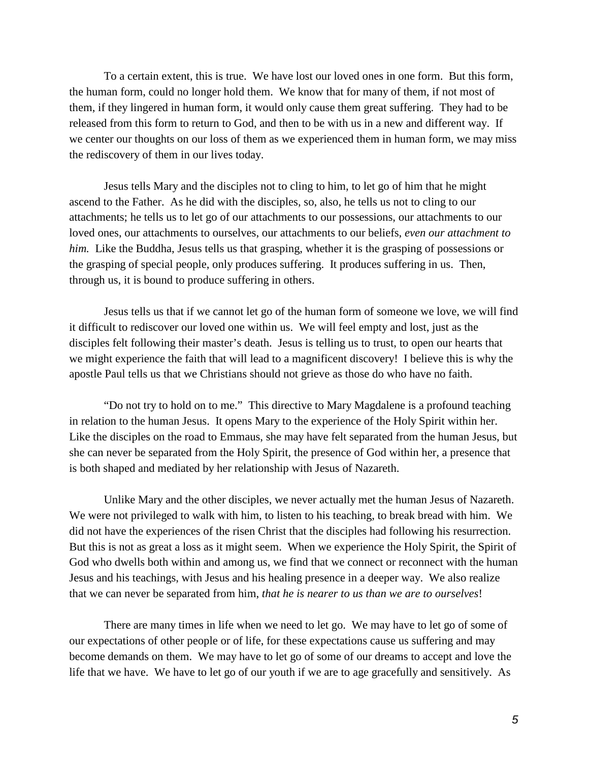To a certain extent, this is true. We have lost our loved ones in one form. But this form, the human form, could no longer hold them. We know that for many of them, if not most of them, if they lingered in human form, it would only cause them great suffering. They had to be released from this form to return to God, and then to be with us in a new and different way. If we center our thoughts on our loss of them as we experienced them in human form, we may miss the rediscovery of them in our lives today.

Jesus tells Mary and the disciples not to cling to him, to let go of him that he might ascend to the Father. As he did with the disciples, so, also, he tells us not to cling to our attachments; he tells us to let go of our attachments to our possessions, our attachments to our loved ones, our attachments to ourselves, our attachments to our beliefs, *even our attachment to him.* Like the Buddha, Jesus tells us that grasping, whether it is the grasping of possessions or the grasping of special people, only produces suffering. It produces suffering in us. Then, through us, it is bound to produce suffering in others.

Jesus tells us that if we cannot let go of the human form of someone we love, we will find it difficult to rediscover our loved one within us. We will feel empty and lost, just as the disciples felt following their master's death. Jesus is telling us to trust, to open our hearts that we might experience the faith that will lead to a magnificent discovery! I believe this is why the apostle Paul tells us that we Christians should not grieve as those do who have no faith.

"Do not try to hold on to me." This directive to Mary Magdalene is a profound teaching in relation to the human Jesus. It opens Mary to the experience of the Holy Spirit within her. Like the disciples on the road to Emmaus, she may have felt separated from the human Jesus, but she can never be separated from the Holy Spirit, the presence of God within her, a presence that is both shaped and mediated by her relationship with Jesus of Nazareth.

Unlike Mary and the other disciples, we never actually met the human Jesus of Nazareth. We were not privileged to walk with him, to listen to his teaching, to break bread with him. We did not have the experiences of the risen Christ that the disciples had following his resurrection. But this is not as great a loss as it might seem. When we experience the Holy Spirit, the Spirit of God who dwells both within and among us, we find that we connect or reconnect with the human Jesus and his teachings, with Jesus and his healing presence in a deeper way. We also realize that we can never be separated from him, *that he is nearer to us than we are to ourselves*!

There are many times in life when we need to let go. We may have to let go of some of our expectations of other people or of life, for these expectations cause us suffering and may become demands on them. We may have to let go of some of our dreams to accept and love the life that we have. We have to let go of our youth if we are to age gracefully and sensitively. As